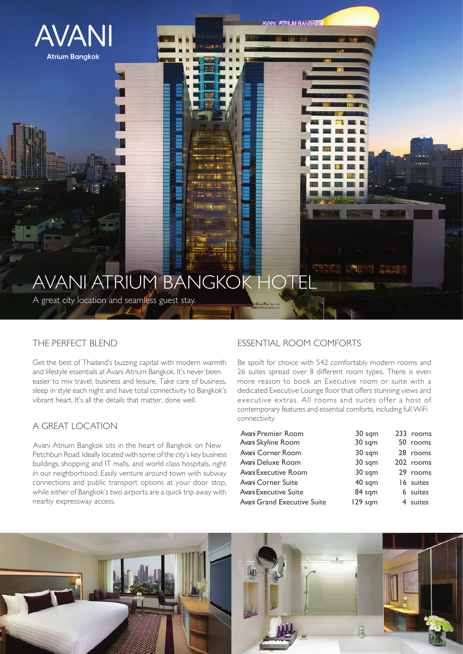

# AVANI ATRIUM BANGKOK HOTEL

A great city location and seamless guest stay.

## THE PERFECT BLEND

Get the best of Thailand's buzzing capital with modern warmth and lifestyle essentials at Avani Atrium Bangkok. It's never been easier to mix travel, business and leisure. Take care of business, sleep in style each night and have total connectivity to Bangkok's vibrant heart. It's all the details that matter, done well.

## A GREAT LOCATION

Avani Atrium Bangkok sits in the heart of Bangkok on New Petchburi Road. Ideally located with some of the city's key business buildings, shopping and IT malls, and world class hospitals, right in our neighborhood. Easily venture around town with subway connections and public transport options at your door stop, while either of Bangkok's two airports are a quick trip away with nearby expressway access.

# ESSENTIAL ROOM COMFORTS

**AVANI ATRIUM BANGKOK** 

Be spoilt for choice with 542 comfortably modern rooms and 26 suites spread over 8 different room types. There is even more reason to book an Executive room or suite with a dedicated Executive Lounge floor that offers stunning views and executive extras. All rooms and suites offer a host of contemporary features and essential comforts, including full WiFi connectivity.

| Avani Premier Room           | 30 sqm  | 233 rooms |
|------------------------------|---------|-----------|
| Avani Skyline Room           | 30 sqm  | 50 rooms  |
| Avani Corner Room            | 30 sqm  | 28 rooms  |
| Avani Deluxe Room            | 30 sqm  | 202 rooms |
| Avani Executive Room         | 30 sqm  | 29 rooms  |
| Avani Corner Suite           | 40 sqm  | 16 suites |
| <b>Avani Executive Suite</b> | 84 sqm  | 6 suites  |
| Avani Grand Executive Suite  | 129 sqm | 4 suites  |